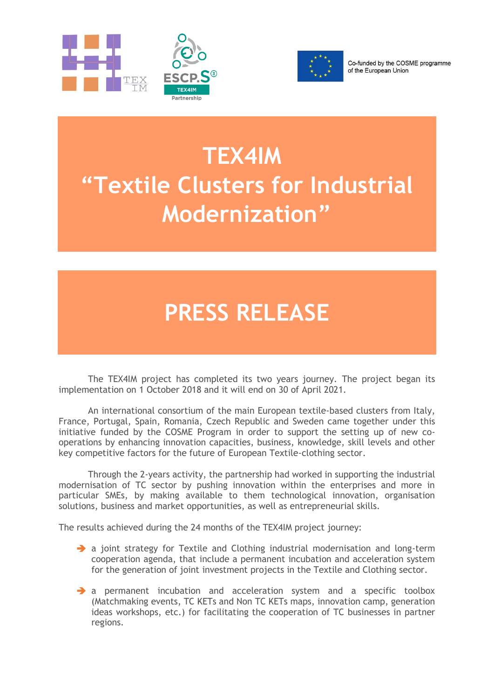



Co-funded by the COSME programme of the European Union

## **TEX4IM "Textile Clusters for Industrial Modernization"**

## **PRESS RELEASE**

The TEX4IM project has completed its two years journey. The project began its implementation on 1 October 2018 and it will end on 30 of April 2021.

An international consortium of the main European textile-based clusters from Italy, France, Portugal, Spain, Romania, Czech Republic and Sweden came together under this initiative funded by the COSME Program in order to support the setting up of new cooperations by enhancing innovation capacities, business, knowledge, skill levels and other key competitive factors for the future of European Textile-clothing sector.

Through the 2-years activity, the partnership had worked in supporting the industrial modernisation of TC sector by pushing innovation within the enterprises and more in particular SMEs, by making available to them technological innovation, organisation solutions, business and market opportunities, as well as entrepreneurial skills.

The results achieved during the 24 months of the TEX4IM project journey:

- → a joint strategy for Textile and Clothing industrial modernisation and long-term cooperation agenda, that include a permanent incubation and acceleration system for the generation of joint investment projects in the Textile and Clothing sector.
- → a permanent incubation and acceleration system and a specific toolbox (Matchmaking events, TC KETs and Non TC KETs maps, innovation camp, generation ideas workshops, etc.) for facilitating the cooperation of TC businesses in partner regions.